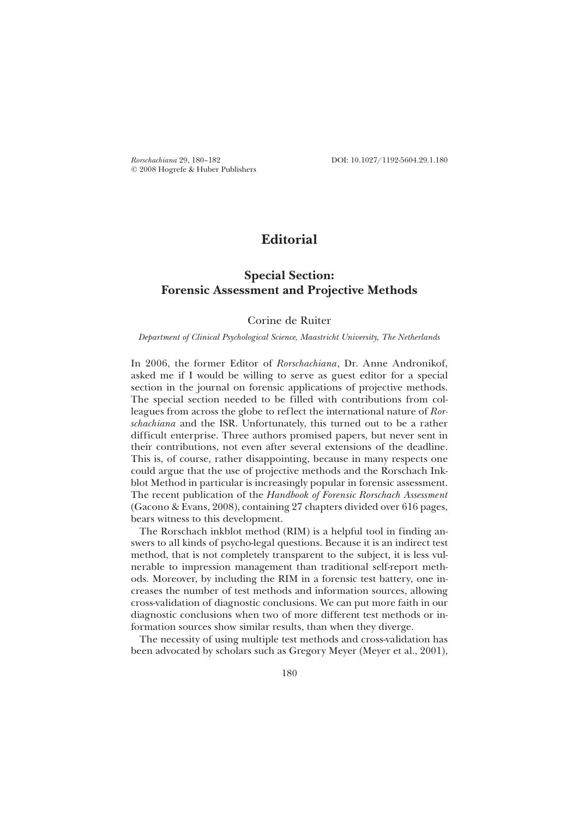© 2008 Hogrefe & Huber Publishers

*Rorschachiana* 29, 180–182 DOI: 10.1027/1192-5604.29.1.180

# **Editorial**

## **Special Section: Forensic Assessment and Projective Methods**

### Corine de Ruiter

#### *Department of Clinical Psychological Science, Maastricht University, The Netherlands*

In 2006, the former Editor of *Rorschachiana*, Dr. Anne Andronikof, asked me if I would be willing to serve as guest editor for a special section in the journal on forensic applications of projective methods. The special section needed to be filled with contributions from colleagues from across the globe to reflect the international nature of *Rorschachiana* and the ISR. Unfortunately, this turned out to be a rather difficult enterprise. Three authors promised papers, but never sent in their contributions, not even after several extensions of the deadline. This is, of course, rather disappointing, because in many respects one could argue that the use of projective methods and the Rorschach Inkblot Method in particular is increasingly popular in forensic assessment. The recent publication of the *Handbook of Forensic Rorschach Assessment* (Gacono & Evans, 2008), containing 27 chapters divided over 616 pages, bears witness to this development.

The Rorschach inkblot method (RIM) is a helpful tool in finding answers to all kinds of psycho-legal questions. Because it is an indirect test method, that is not completely transparent to the subject, it is less vulnerable to impression management than traditional self-report methods. Moreover, by including the RIM in a forensic test battery, one increases the number of test methods and information sources, allowing cross-validation of diagnostic conclusions. We can put more faith in our diagnostic conclusions when two of more different test methods or information sources show similar results, than when they diverge.

The necessity of using multiple test methods and cross-validation has been advocated by scholars such as Gregory Meyer (Meyer et al., 2001),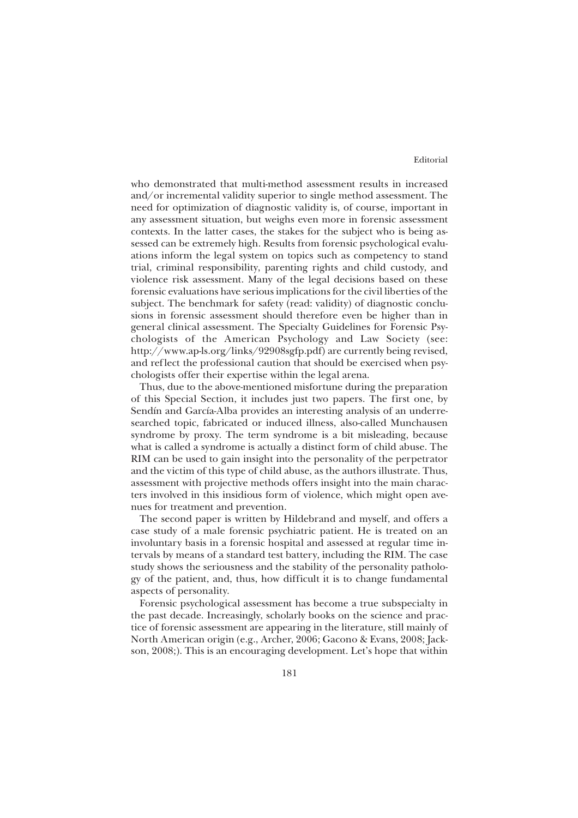#### Editorial

who demonstrated that multi-method assessment results in increased and/or incremental validity superior to single method assessment. The need for optimization of diagnostic validity is, of course, important in any assessment situation, but weighs even more in forensic assessment contexts. In the latter cases, the stakes for the subject who is being assessed can be extremely high. Results from forensic psychological evaluations inform the legal system on topics such as competency to stand trial, criminal responsibility, parenting rights and child custody, and violence risk assessment. Many of the legal decisions based on these forensic evaluations have serious implications for the civil liberties of the subject. The benchmark for safety (read: validity) of diagnostic conclusions in forensic assessment should therefore even be higher than in general clinical assessment. The Specialty Guidelines for Forensic Psychologists of the American Psychology and Law Society (see: http://www.ap-ls.org/links/92908sgfp.pdf) are currently being revised, and reflect the professional caution that should be exercised when psychologists offer their expertise within the legal arena.

Thus, due to the above-mentioned misfortune during the preparation of this Special Section, it includes just two papers. The first one, by Sendín and García-Alba provides an interesting analysis of an underresearched topic, fabricated or induced illness, also-called Munchausen syndrome by proxy. The term syndrome is a bit misleading, because what is called a syndrome is actually a distinct form of child abuse. The RIM can be used to gain insight into the personality of the perpetrator and the victim of this type of child abuse, as the authors illustrate. Thus, assessment with projective methods offers insight into the main characters involved in this insidious form of violence, which might open avenues for treatment and prevention.

The second paper is written by Hildebrand and myself, and offers a case study of a male forensic psychiatric patient. He is treated on an involuntary basis in a forensic hospital and assessed at regular time intervals by means of a standard test battery, including the RIM. The case study shows the seriousness and the stability of the personality pathology of the patient, and, thus, how difficult it is to change fundamental aspects of personality.

Forensic psychological assessment has become a true subspecialty in the past decade. Increasingly, scholarly books on the science and practice of forensic assessment are appearing in the literature, still mainly of North American origin (e.g., Archer, 2006; Gacono & Evans, 2008; Jackson, 2008;). This is an encouraging development. Let's hope that within